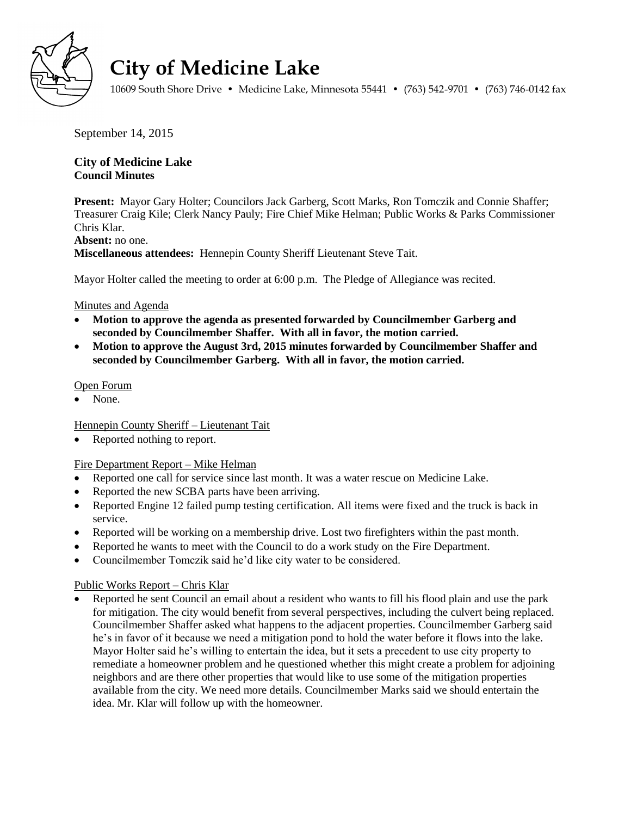

# **City of Medicine Lake**

10609 South Shore Drive • Medicine Lake, Minnesota 55441 • (763) 542-9701 • (763) 746-0142 fax

September 14, 2015

## **City of Medicine Lake Council Minutes**

**Present:** Mayor Gary Holter; Councilors Jack Garberg, Scott Marks, Ron Tomczik and Connie Shaffer; Treasurer Craig Kile; Clerk Nancy Pauly; Fire Chief Mike Helman; Public Works & Parks Commissioner Chris Klar.

#### **Absent:** no one.

**Miscellaneous attendees:** Hennepin County Sheriff Lieutenant Steve Tait.

Mayor Holter called the meeting to order at 6:00 p.m. The Pledge of Allegiance was recited.

## Minutes and Agenda

- **Motion to approve the agenda as presented forwarded by Councilmember Garberg and seconded by Councilmember Shaffer. With all in favor, the motion carried.**
- **Motion to approve the August 3rd, 2015 minutes forwarded by Councilmember Shaffer and seconded by Councilmember Garberg. With all in favor, the motion carried.**

#### Open Forum

None.

## Hennepin County Sheriff – Lieutenant Tait

Reported nothing to report.

## Fire Department Report – Mike Helman

- Reported one call for service since last month. It was a water rescue on Medicine Lake.
- Reported the new SCBA parts have been arriving.
- Reported Engine 12 failed pump testing certification. All items were fixed and the truck is back in service.
- Reported will be working on a membership drive. Lost two firefighters within the past month.
- Reported he wants to meet with the Council to do a work study on the Fire Department.
- Councilmember Tomczik said he'd like city water to be considered.

## Public Works Report – Chris Klar

 Reported he sent Council an email about a resident who wants to fill his flood plain and use the park for mitigation. The city would benefit from several perspectives, including the culvert being replaced. Councilmember Shaffer asked what happens to the adjacent properties. Councilmember Garberg said he's in favor of it because we need a mitigation pond to hold the water before it flows into the lake. Mayor Holter said he's willing to entertain the idea, but it sets a precedent to use city property to remediate a homeowner problem and he questioned whether this might create a problem for adjoining neighbors and are there other properties that would like to use some of the mitigation properties available from the city. We need more details. Councilmember Marks said we should entertain the idea. Mr. Klar will follow up with the homeowner.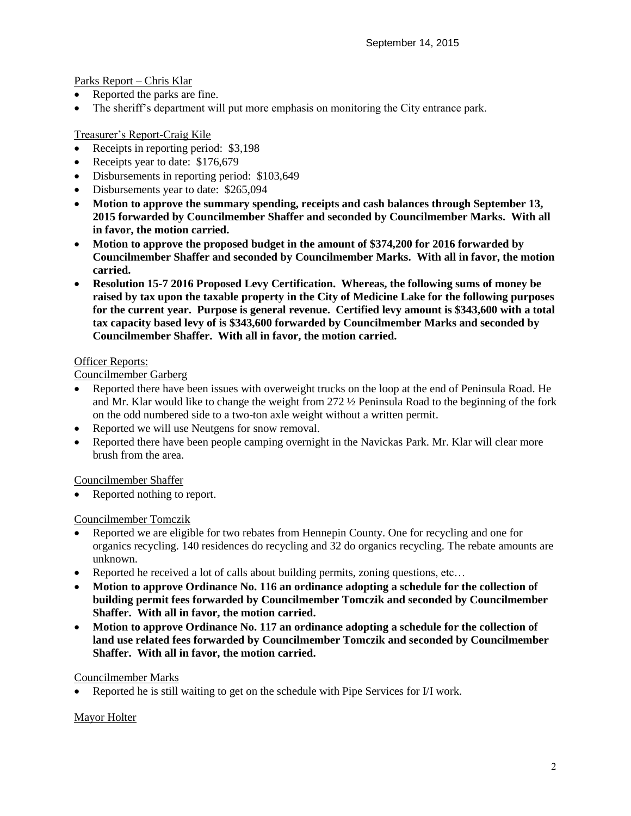Parks Report – Chris Klar

- Reported the parks are fine.
- The sheriff's department will put more emphasis on monitoring the City entrance park.

## Treasurer's Report-Craig Kile

- Receipts in reporting period: \$3,198
- Receipts year to date: \$176,679
- Disbursements in reporting period: \$103,649
- Disbursements year to date: \$265,094
- **Motion to approve the summary spending, receipts and cash balances through September 13, 2015 forwarded by Councilmember Shaffer and seconded by Councilmember Marks. With all in favor, the motion carried.**
- **Motion to approve the proposed budget in the amount of \$374,200 for 2016 forwarded by Councilmember Shaffer and seconded by Councilmember Marks. With all in favor, the motion carried.**
- **Resolution 15-7 2016 Proposed Levy Certification. Whereas, the following sums of money be raised by tax upon the taxable property in the City of Medicine Lake for the following purposes for the current year. Purpose is general revenue. Certified levy amount is \$343,600 with a total tax capacity based levy of is \$343,600 forwarded by Councilmember Marks and seconded by Councilmember Shaffer. With all in favor, the motion carried.**

#### Officer Reports:

Councilmember Garberg

- Reported there have been issues with overweight trucks on the loop at the end of Peninsula Road. He and Mr. Klar would like to change the weight from 272 ½ Peninsula Road to the beginning of the fork on the odd numbered side to a two-ton axle weight without a written permit.
- Reported we will use Neutgens for snow removal.
- Reported there have been people camping overnight in the Navickas Park. Mr. Klar will clear more brush from the area.

## Councilmember Shaffer

Reported nothing to report.

## Councilmember Tomczik

- Reported we are eligible for two rebates from Hennepin County. One for recycling and one for organics recycling. 140 residences do recycling and 32 do organics recycling. The rebate amounts are unknown.
- Reported he received a lot of calls about building permits, zoning questions, etc…
- **Motion to approve Ordinance No. 116 an ordinance adopting a schedule for the collection of building permit fees forwarded by Councilmember Tomczik and seconded by Councilmember Shaffer. With all in favor, the motion carried.**
- **Motion to approve Ordinance No. 117 an ordinance adopting a schedule for the collection of land use related fees forwarded by Councilmember Tomczik and seconded by Councilmember Shaffer. With all in favor, the motion carried.**

#### Councilmember Marks

Reported he is still waiting to get on the schedule with Pipe Services for I/I work.

#### Mayor Holter